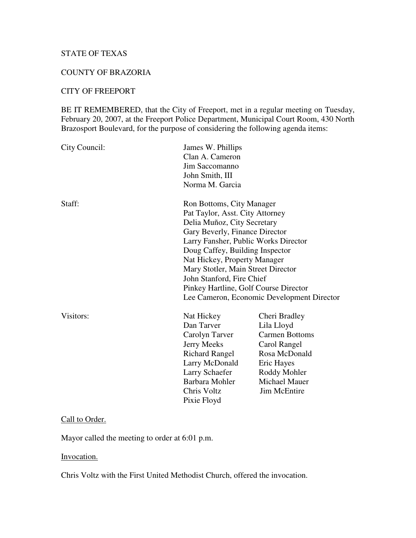# STATE OF TEXAS

#### COUNTY OF BRAZORIA

## CITY OF FREEPORT

BE IT REMEMBERED, that the City of Freeport, met in a regular meeting on Tuesday, February 20, 2007, at the Freeport Police Department, Municipal Court Room, 430 North Brazosport Boulevard, for the purpose of considering the following agenda items:

| City Council: | James W. Phillips<br>Clan A. Cameron<br>Jim Saccomanno<br>John Smith, III<br>Norma M. Garcia                                                                                                                                                                                                                                                                                                       |                                                                                                                                                                    |  |
|---------------|----------------------------------------------------------------------------------------------------------------------------------------------------------------------------------------------------------------------------------------------------------------------------------------------------------------------------------------------------------------------------------------------------|--------------------------------------------------------------------------------------------------------------------------------------------------------------------|--|
| Staff:        | Ron Bottoms, City Manager<br>Pat Taylor, Asst. City Attorney<br>Delia Muñoz, City Secretary<br>Gary Beverly, Finance Director<br>Larry Fansher, Public Works Director<br>Doug Caffey, Building Inspector<br>Nat Hickey, Property Manager<br>Mary Stotler, Main Street Director<br>John Stanford, Fire Chief<br>Pinkey Hartline, Golf Course Director<br>Lee Cameron, Economic Development Director |                                                                                                                                                                    |  |
| Visitors:     | Nat Hickey<br>Dan Tarver<br>Carolyn Tarver<br><b>Jerry Meeks</b><br><b>Richard Rangel</b><br>Larry McDonald<br>Larry Schaefer<br>Barbara Mohler<br>Chris Voltz<br>Pixie Floyd                                                                                                                                                                                                                      | Cheri Bradley<br>Lila Lloyd<br><b>Carmen Bottoms</b><br>Carol Rangel<br>Rosa McDonald<br>Eric Hayes<br>Roddy Mohler<br><b>Michael Mauer</b><br><b>Jim McEntire</b> |  |

## Call to Order.

Mayor called the meeting to order at 6:01 p.m.

#### Invocation.

Chris Voltz with the First United Methodist Church, offered the invocation.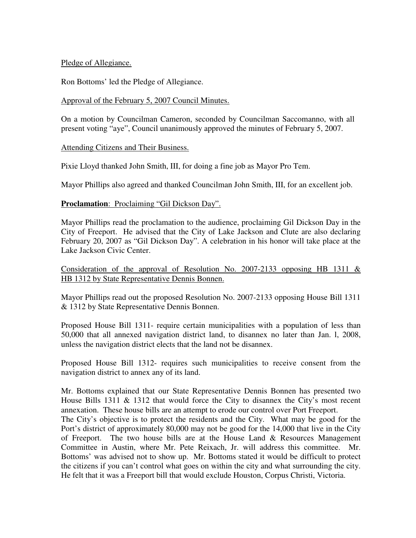Pledge of Allegiance.

Ron Bottoms' led the Pledge of Allegiance.

### Approval of the February 5, 2007 Council Minutes.

On a motion by Councilman Cameron, seconded by Councilman Saccomanno, with all present voting "aye", Council unanimously approved the minutes of February 5, 2007.

#### Attending Citizens and Their Business.

Pixie Lloyd thanked John Smith, III, for doing a fine job as Mayor Pro Tem.

Mayor Phillips also agreed and thanked Councilman John Smith, III, for an excellent job.

## **Proclamation**: Proclaiming "Gil Dickson Day".

Mayor Phillips read the proclamation to the audience, proclaiming Gil Dickson Day in the City of Freeport. He advised that the City of Lake Jackson and Clute are also declaring February 20, 2007 as "Gil Dickson Day". A celebration in his honor will take place at the Lake Jackson Civic Center.

## Consideration of the approval of Resolution No. 2007-2133 opposing HB 1311  $&$ HB 1312 by State Representative Dennis Bonnen.

Mayor Phillips read out the proposed Resolution No. 2007-2133 opposing House Bill 1311 & 1312 by State Representative Dennis Bonnen.

Proposed House Bill 1311- require certain municipalities with a population of less than 50,000 that all annexed navigation district land, to disannex no later than Jan. l, 2008, unless the navigation district elects that the land not be disannex.

Proposed House Bill 1312- requires such municipalities to receive consent from the navigation district to annex any of its land.

Mr. Bottoms explained that our State Representative Dennis Bonnen has presented two House Bills 1311 & 1312 that would force the City to disannex the City's most recent annexation. These house bills are an attempt to erode our control over Port Freeport.

The City's objective is to protect the residents and the City. What may be good for the Port's district of approximately 80,000 may not be good for the 14,000 that live in the City of Freeport. The two house bills are at the House Land & Resources Management Committee in Austin, where Mr. Pete Reixach, Jr. will address this committee. Mr. Bottoms' was advised not to show up. Mr. Bottoms stated it would be difficult to protect the citizens if you can't control what goes on within the city and what surrounding the city. He felt that it was a Freeport bill that would exclude Houston, Corpus Christi, Victoria.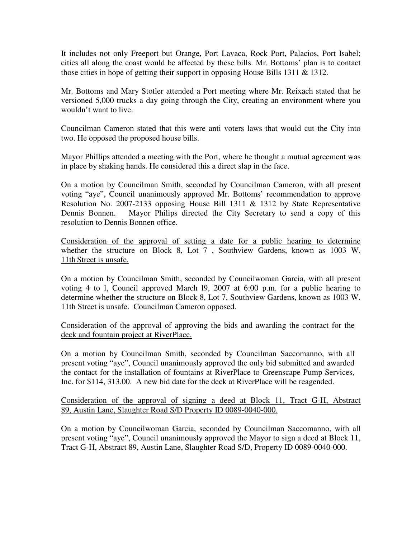It includes not only Freeport but Orange, Port Lavaca, Rock Port, Palacios, Port Isabel; cities all along the coast would be affected by these bills. Mr. Bottoms' plan is to contact those cities in hope of getting their support in opposing House Bills 1311 & 1312.

Mr. Bottoms and Mary Stotler attended a Port meeting where Mr. Reixach stated that he versioned 5,000 trucks a day going through the City, creating an environment where you wouldn't want to live.

Councilman Cameron stated that this were anti voters laws that would cut the City into two. He opposed the proposed house bills.

Mayor Phillips attended a meeting with the Port, where he thought a mutual agreement was in place by shaking hands. He considered this a direct slap in the face.

On a motion by Councilman Smith, seconded by Councilman Cameron, with all present voting "aye", Council unanimously approved Mr. Bottoms' recommendation to approve Resolution No. 2007-2133 opposing House Bill 1311 & 1312 by State Representative Dennis Bonnen. Mayor Philips directed the City Secretary to send a copy of this resolution to Dennis Bonnen office.

Consideration of the approval of setting a date for a public hearing to determine whether the structure on Block 8, Lot 7, Southview Gardens, known as 1003 W. 11th Street is unsafe.

On a motion by Councilman Smith, seconded by Councilwoman Garcia, with all present voting 4 to l, Council approved March l9, 2007 at 6:00 p.m. for a public hearing to determine whether the structure on Block 8, Lot 7, Southview Gardens, known as 1003 W. 11th Street is unsafe. Councilman Cameron opposed.

Consideration of the approval of approving the bids and awarding the contract for the deck and fountain project at RiverPlace.

On a motion by Councilman Smith, seconded by Councilman Saccomanno, with all present voting "aye", Council unanimously approved the only bid submitted and awarded the contact for the installation of fountains at RiverPlace to Greenscape Pump Services, Inc. for \$114, 313.00. A new bid date for the deck at RiverPlace will be reagended.

Consideration of the approval of signing a deed at Block 11, Tract G-H, Abstract 89, Austin Lane, Slaughter Road S/D Property ID 0089-0040-000.

On a motion by Councilwoman Garcia, seconded by Councilman Saccomanno, with all present voting "aye", Council unanimously approved the Mayor to sign a deed at Block 11, Tract G-H, Abstract 89, Austin Lane, Slaughter Road S/D, Property ID 0089-0040-000.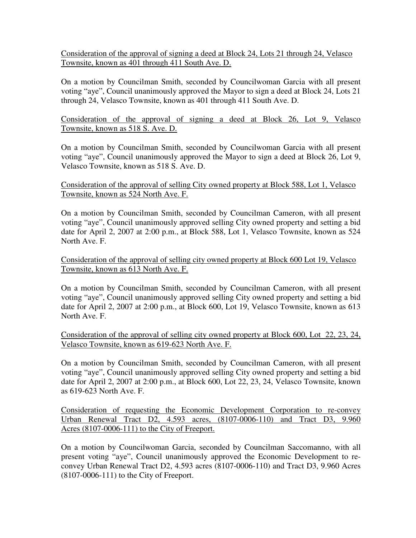Consideration of the approval of signing a deed at Block 24, Lots 21 through 24, Velasco Townsite, known as 401 through 411 South Ave. D.

On a motion by Councilman Smith, seconded by Councilwoman Garcia with all present voting "aye", Council unanimously approved the Mayor to sign a deed at Block 24, Lots 21 through 24, Velasco Townsite, known as 401 through 411 South Ave. D.

Consideration of the approval of signing a deed at Block 26, Lot 9, Velasco Townsite, known as 518 S. Ave. D.

On a motion by Councilman Smith, seconded by Councilwoman Garcia with all present voting "aye", Council unanimously approved the Mayor to sign a deed at Block 26, Lot 9, Velasco Townsite, known as 518 S. Ave. D.

## Consideration of the approval of selling City owned property at Block 588, Lot 1, Velasco Townsite, known as 524 North Ave. F.

On a motion by Councilman Smith, seconded by Councilman Cameron, with all present voting "aye", Council unanimously approved selling City owned property and setting a bid date for April 2, 2007 at 2:00 p.m., at Block 588, Lot 1, Velasco Townsite, known as 524 North Ave. F.

Consideration of the approval of selling city owned property at Block 600 Lot 19, Velasco Townsite, known as 613 North Ave. F.

On a motion by Councilman Smith, seconded by Councilman Cameron, with all present voting "aye", Council unanimously approved selling City owned property and setting a bid date for April 2, 2007 at 2:00 p.m., at Block 600, Lot 19, Velasco Townsite, known as 613 North Ave. F.

Consideration of the approval of selling city owned property at Block 600, Lot 22, 23, 24, Velasco Townsite, known as 619-623 North Ave. F.

On a motion by Councilman Smith, seconded by Councilman Cameron, with all present voting "aye", Council unanimously approved selling City owned property and setting a bid date for April 2, 2007 at 2:00 p.m., at Block 600, Lot 22, 23, 24, Velasco Townsite, known as 619-623 North Ave. F.

Consideration of requesting the Economic Development Corporation to re-convey Urban Renewal Tract D2, 4.593 acres, (8107-0006-110) and Tract D3, 9.960 Acres (8107-0006-111) to the City of Freeport.

On a motion by Councilwoman Garcia, seconded by Councilman Saccomanno, with all present voting "aye", Council unanimously approved the Economic Development to reconvey Urban Renewal Tract D2, 4.593 acres (8107-0006-110) and Tract D3, 9.960 Acres (8107-0006-111) to the City of Freeport.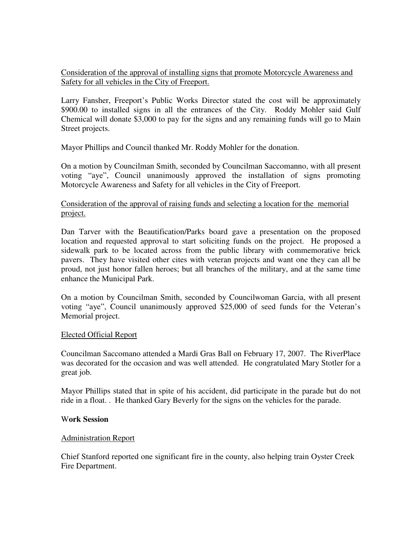Consideration of the approval of installing signs that promote Motorcycle Awareness and Safety for all vehicles in the City of Freeport.

Larry Fansher, Freeport's Public Works Director stated the cost will be approximately \$900.00 to installed signs in all the entrances of the City. Roddy Mohler said Gulf Chemical will donate \$3,000 to pay for the signs and any remaining funds will go to Main Street projects.

Mayor Phillips and Council thanked Mr. Roddy Mohler for the donation.

On a motion by Councilman Smith, seconded by Councilman Saccomanno, with all present voting "aye", Council unanimously approved the installation of signs promoting Motorcycle Awareness and Safety for all vehicles in the City of Freeport.

### Consideration of the approval of raising funds and selecting a location for the memorial project.

Dan Tarver with the Beautification/Parks board gave a presentation on the proposed location and requested approval to start soliciting funds on the project. He proposed a sidewalk park to be located across from the public library with commemorative brick pavers. They have visited other cites with veteran projects and want one they can all be proud, not just honor fallen heroes; but all branches of the military, and at the same time enhance the Municipal Park.

On a motion by Councilman Smith, seconded by Councilwoman Garcia, with all present voting "aye", Council unanimously approved \$25,000 of seed funds for the Veteran's Memorial project.

#### Elected Official Report

Councilman Saccomano attended a Mardi Gras Ball on February 17, 2007. The RiverPlace was decorated for the occasion and was well attended. He congratulated Mary Stotler for a great job.

Mayor Phillips stated that in spite of his accident, did participate in the parade but do not ride in a float. . He thanked Gary Beverly for the signs on the vehicles for the parade.

#### W**ork Session**

#### Administration Report

Chief Stanford reported one significant fire in the county, also helping train Oyster Creek Fire Department.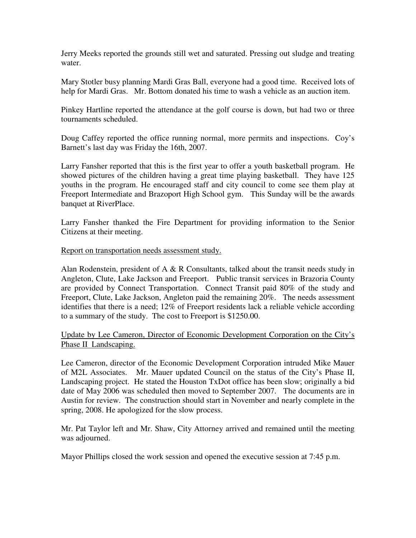Jerry Meeks reported the grounds still wet and saturated. Pressing out sludge and treating water.

Mary Stotler busy planning Mardi Gras Ball, everyone had a good time. Received lots of help for Mardi Gras. Mr. Bottom donated his time to wash a vehicle as an auction item.

Pinkey Hartline reported the attendance at the golf course is down, but had two or three tournaments scheduled.

Doug Caffey reported the office running normal, more permits and inspections. Coy's Barnett's last day was Friday the 16th, 2007.

Larry Fansher reported that this is the first year to offer a youth basketball program. He showed pictures of the children having a great time playing basketball. They have 125 youths in the program. He encouraged staff and city council to come see them play at Freeport Intermediate and Brazoport High School gym. This Sunday will be the awards banquet at RiverPlace.

Larry Fansher thanked the Fire Department for providing information to the Senior Citizens at their meeting.

#### Report on transportation needs assessment study.

Alan Rodenstein, president of  $A \& R$  Consultants, talked about the transit needs study in Angleton, Clute, Lake Jackson and Freeport. Public transit services in Brazoria County are provided by Connect Transportation. Connect Transit paid 80% of the study and Freeport, Clute, Lake Jackson, Angleton paid the remaining 20%. The needs assessment identifies that there is a need; 12% of Freeport residents lack a reliable vehicle according to a summary of the study. The cost to Freeport is \$1250.00.

## Update by Lee Cameron, Director of Economic Development Corporation on the City's Phase II Landscaping.

Lee Cameron, director of the Economic Development Corporation intruded Mike Mauer of M2L Associates. Mr. Mauer updated Council on the status of the City's Phase II, Landscaping project. He stated the Houston TxDot office has been slow; originally a bid date of May 2006 was scheduled then moved to September 2007. The documents are in Austin for review. The construction should start in November and nearly complete in the spring, 2008. He apologized for the slow process.

Mr. Pat Taylor left and Mr. Shaw, City Attorney arrived and remained until the meeting was adjourned.

Mayor Phillips closed the work session and opened the executive session at 7:45 p.m.